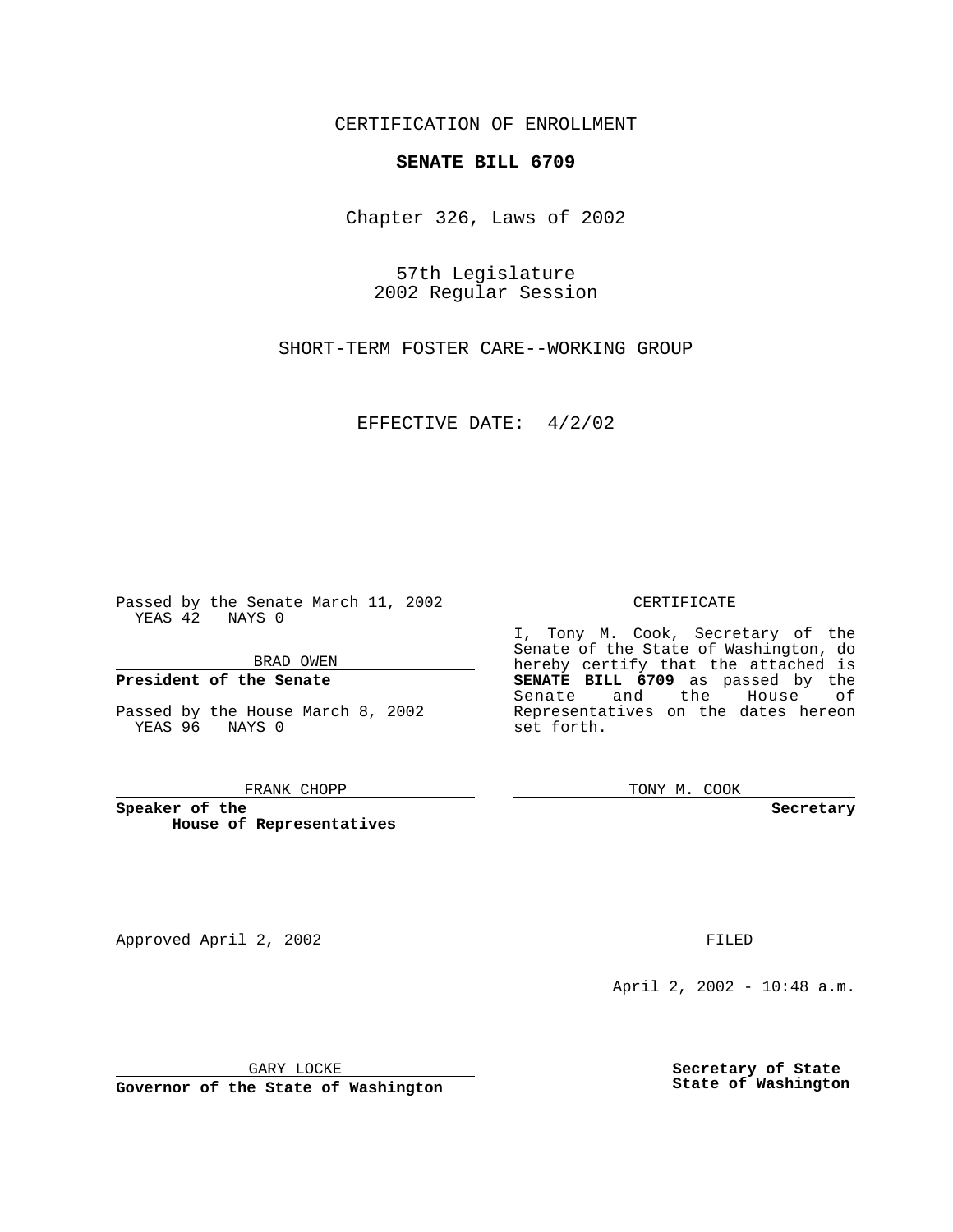CERTIFICATION OF ENROLLMENT

## **SENATE BILL 6709**

Chapter 326, Laws of 2002

57th Legislature 2002 Regular Session

SHORT-TERM FOSTER CARE--WORKING GROUP

EFFECTIVE DATE: 4/2/02

Passed by the Senate March 11, 2002 YEAS 42 NAYS 0

BRAD OWEN

### **President of the Senate**

Passed by the House March 8, 2002 YEAS 96 NAYS 0

#### FRANK CHOPP

**Speaker of the House of Representatives** CERTIFICATE

I, Tony M. Cook, Secretary of the Senate of the State of Washington, do hereby certify that the attached is **SENATE BILL 6709** as passed by the Senate and the House of Representatives on the dates hereon set forth.

TONY M. COOK

**Secretary**

Approved April 2, 2002 **FILED** 

April 2, 2002 - 10:48 a.m.

GARY LOCKE

**Governor of the State of Washington**

**Secretary of State State of Washington**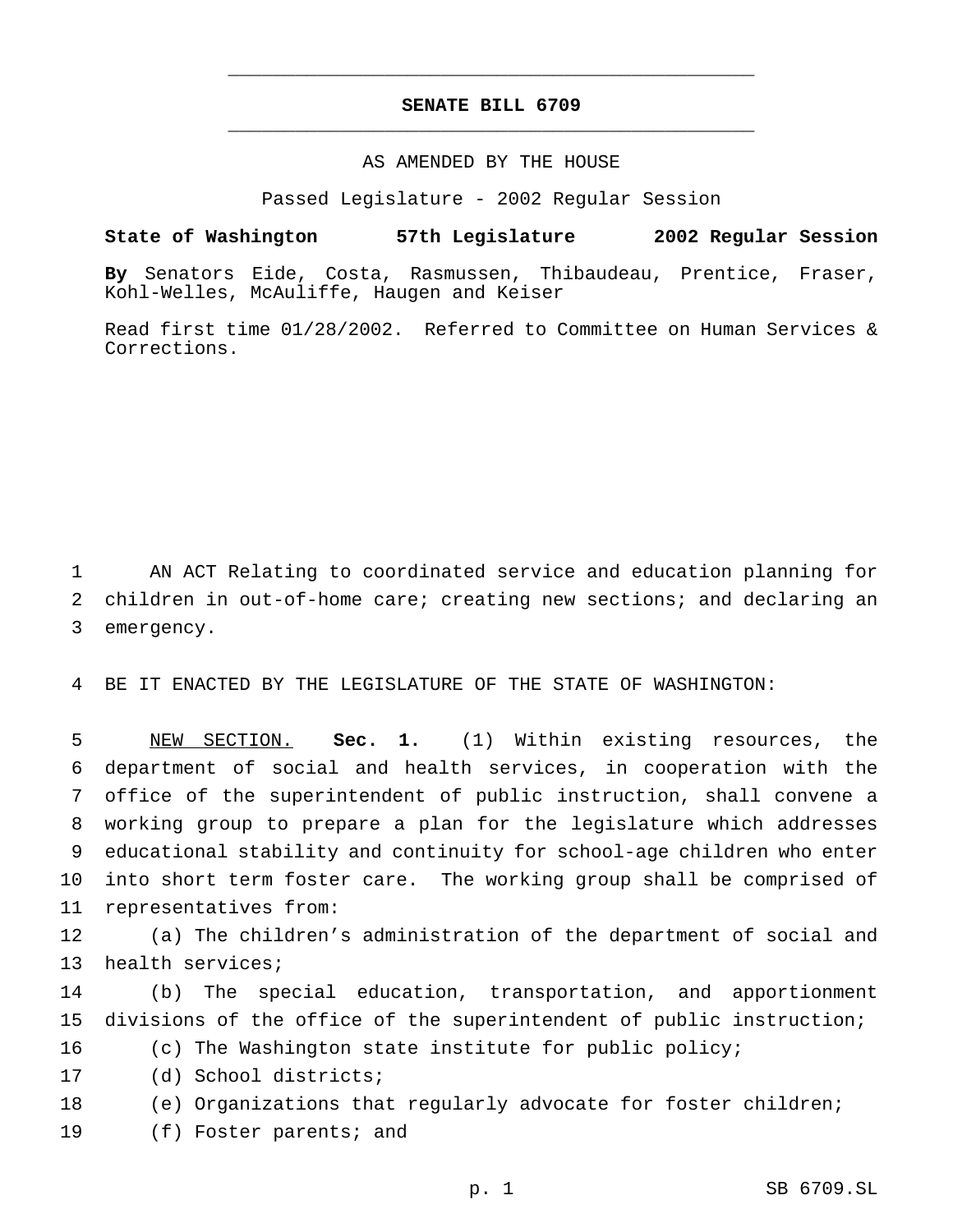# **SENATE BILL 6709** \_\_\_\_\_\_\_\_\_\_\_\_\_\_\_\_\_\_\_\_\_\_\_\_\_\_\_\_\_\_\_\_\_\_\_\_\_\_\_\_\_\_\_\_\_\_\_

\_\_\_\_\_\_\_\_\_\_\_\_\_\_\_\_\_\_\_\_\_\_\_\_\_\_\_\_\_\_\_\_\_\_\_\_\_\_\_\_\_\_\_\_\_\_\_

### AS AMENDED BY THE HOUSE

Passed Legislature - 2002 Regular Session

#### **State of Washington 57th Legislature 2002 Regular Session**

**By** Senators Eide, Costa, Rasmussen, Thibaudeau, Prentice, Fraser, Kohl-Welles, McAuliffe, Haugen and Keiser

Read first time 01/28/2002. Referred to Committee on Human Services & Corrections.

 AN ACT Relating to coordinated service and education planning for children in out-of-home care; creating new sections; and declaring an emergency.

BE IT ENACTED BY THE LEGISLATURE OF THE STATE OF WASHINGTON:

 NEW SECTION. **Sec. 1.** (1) Within existing resources, the department of social and health services, in cooperation with the office of the superintendent of public instruction, shall convene a working group to prepare a plan for the legislature which addresses educational stability and continuity for school-age children who enter into short term foster care. The working group shall be comprised of representatives from:

 (a) The children's administration of the department of social and health services;

 (b) The special education, transportation, and apportionment divisions of the office of the superintendent of public instruction;

(c) The Washington state institute for public policy;

(d) School districts;

(e) Organizations that regularly advocate for foster children;

(f) Foster parents; and

p. 1 SB 6709.SL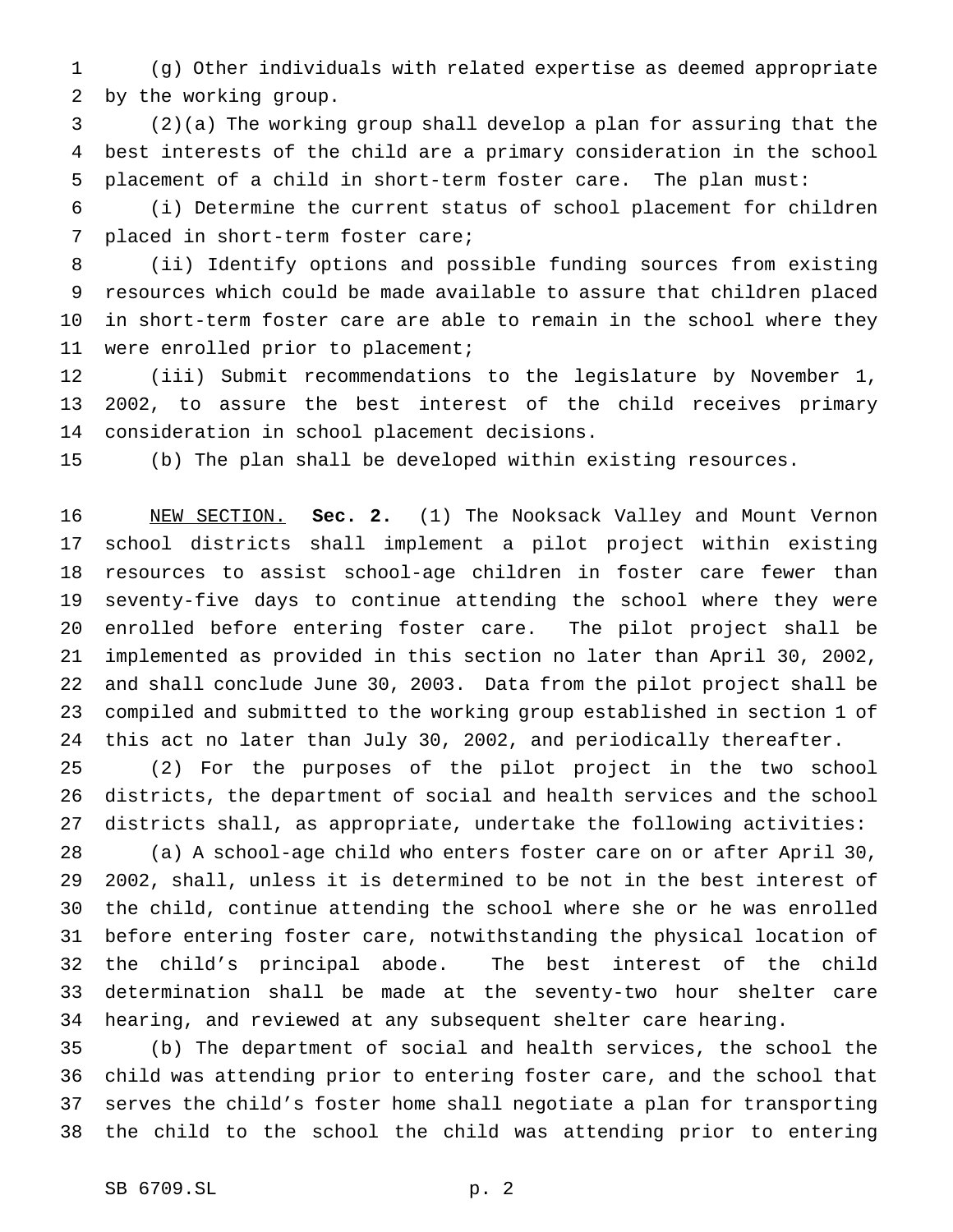(g) Other individuals with related expertise as deemed appropriate by the working group.

 (2)(a) The working group shall develop a plan for assuring that the best interests of the child are a primary consideration in the school placement of a child in short-term foster care. The plan must:

 (i) Determine the current status of school placement for children placed in short-term foster care;

 (ii) Identify options and possible funding sources from existing resources which could be made available to assure that children placed in short-term foster care are able to remain in the school where they were enrolled prior to placement;

 (iii) Submit recommendations to the legislature by November 1, 2002, to assure the best interest of the child receives primary consideration in school placement decisions.

(b) The plan shall be developed within existing resources.

 NEW SECTION. **Sec. 2.** (1) The Nooksack Valley and Mount Vernon school districts shall implement a pilot project within existing resources to assist school-age children in foster care fewer than seventy-five days to continue attending the school where they were enrolled before entering foster care. The pilot project shall be implemented as provided in this section no later than April 30, 2002, and shall conclude June 30, 2003. Data from the pilot project shall be compiled and submitted to the working group established in section 1 of this act no later than July 30, 2002, and periodically thereafter.

 (2) For the purposes of the pilot project in the two school districts, the department of social and health services and the school districts shall, as appropriate, undertake the following activities:

 (a) A school-age child who enters foster care on or after April 30, 2002, shall, unless it is determined to be not in the best interest of the child, continue attending the school where she or he was enrolled before entering foster care, notwithstanding the physical location of the child's principal abode. The best interest of the child determination shall be made at the seventy-two hour shelter care hearing, and reviewed at any subsequent shelter care hearing.

 (b) The department of social and health services, the school the child was attending prior to entering foster care, and the school that serves the child's foster home shall negotiate a plan for transporting the child to the school the child was attending prior to entering